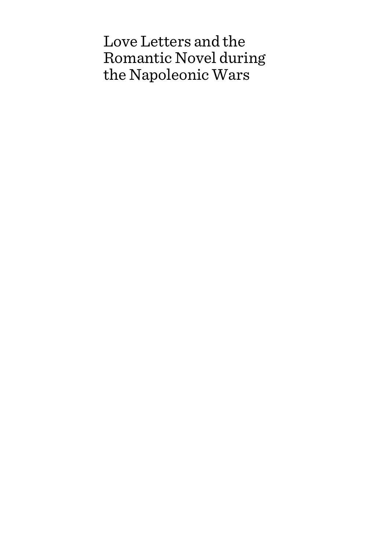# Love Letters and the Romantic Novel during the Napoleonic Wars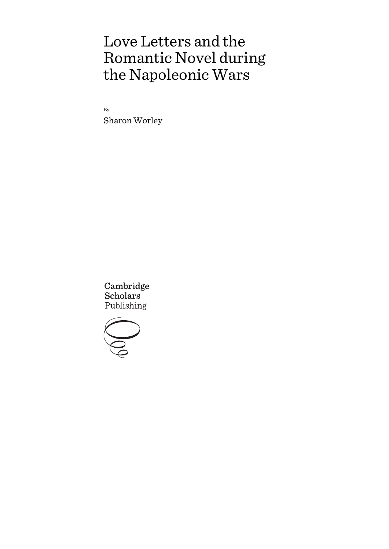# Love Letters and the Romantic Novel during the Napoleonic Wars

By Sharon Worley

Cambridge **Scholars** Publishing

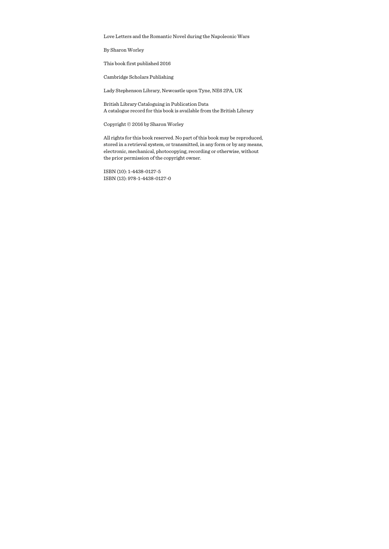Love Letters and the Romantic Novel during the Napoleonic Wars

By Sharon Worley

This book first published 2016

Cambridge Scholars Publishing

Lady Stephenson Library, Newcastle upon Tyne, NE6 2PA, UK

British Library Cataloguing in Publication Data A catalogue record for this book is available from the British Library

Copyright © 2016 by Sharon Worley

All rights for this book reserved. No part of this book may be reproduced, stored in a retrieval system, or transmitted, in any form or by any means, electronic, mechanical, photocopying, recording or otherwise, without the prior permission of the copyright owner.

ISBN (10): 1-4438-0127-5 ISBN (13): 978-1-4438-0127-0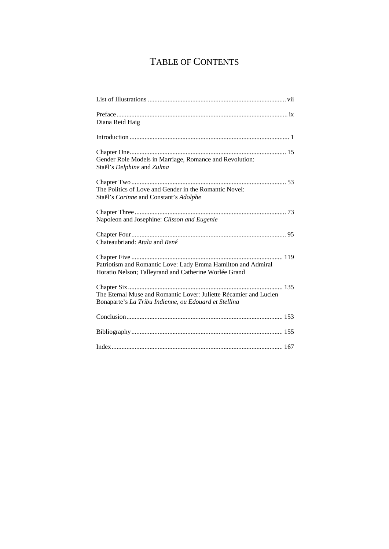## TABLE OF CONTENTS

| Diana Reid Haig                                                                                                            |
|----------------------------------------------------------------------------------------------------------------------------|
|                                                                                                                            |
| Gender Role Models in Marriage, Romance and Revolution:<br>Staël's Delphine and Zulma                                      |
| The Politics of Love and Gender in the Romantic Novel:<br>Staël's Corinne and Constant's Adolphe                           |
| Napoleon and Josephine: Clisson and Eugenie                                                                                |
| Chateaubriand: Atala and René                                                                                              |
| Patriotism and Romantic Love: Lady Emma Hamilton and Admiral<br>Horatio Nelson; Talleyrand and Catherine Worlée Grand      |
| The Eternal Muse and Romantic Lover: Juliette Récamier and Lucien<br>Bonaparte's La Tribu Indienne, ou Edouard et Stellina |
|                                                                                                                            |
|                                                                                                                            |
|                                                                                                                            |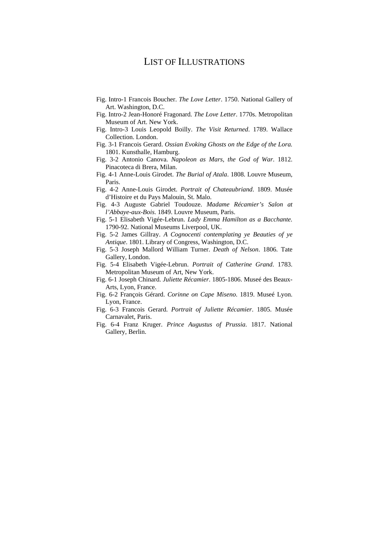## LIST OF ILLUSTRATIONS

- Fig. Intro-1 Francois Boucher. *The Love Letter*. 1750. National Gallery of Art. Washington, D.C.
- Fig. Intro-2 Jean-Honoré Fragonard. *The Love Letter*. 1770s. Metropolitan Museum of Art. New York.
- Fig. Intro-3 Louis Leopold Boilly. *The Visit Returned*. 1789. Wallace Collection. London.
- Fig. 3-1 Francois Gerard. *Ossian Evoking Ghosts on the Edge of the Lora.*  1801. Kunsthalle, Hamburg.
- Fig. 3-2 Antonio Canova. *Napoleon as Mars, the God of War*. 1812. Pinacoteca di Brera, Milan.
- Fig. 4-1 Anne-Louis Girodet. *The Burial of Atala*. 1808. Louvre Museum, Paris.
- Fig. 4-2 Anne-Louis Girodet. *Portrait of Chateaubriand*. 1809. Musée d'Histoire et du Pays Malouin, St. Malo.
- Fig. 4-3 Auguste Gabriel Toudouze. *Madame Récamier's Salon at l'Abbaye-aux-Bois*. 1849. Louvre Museum, Paris.
- Fig. 5-1 Elisabeth Vigée-Lebrun. *Lady Emma Hamilton as a Bacchante.*  1790-92. National Museums Liverpool, UK.
- Fig. 5-2 James Gillray. *A Cognocenti contemplating ye Beauties of ye Antique*. 1801. Library of Congress, Washington, D.C.
- Fig. 5-3 Joseph Mallord William Turner. *Death of Nelson*. 1806. Tate Gallery, London.
- Fig. 5-4 Elisabeth Vigée-Lebrun. *Portrait of Catherine Grand*. 1783. Metropolitan Museum of Art, New York.
- Fig. 6-1 Joseph Chinard. *Juliette Récamier*. 1805-1806. Museé des Beaux-Arts, Lyon, France.
- Fig. 6-2 François Gérard. *Corinne on Cape Miseno*. 1819. Museé Lyon. Lyon, France.
- Fig. 6-3 Francois Gerard. *Portrait of Juliette Récamier*. 1805. Musée Carnavalet, Paris.
- Fig. 6-4 Franz Kruger. *Prince Augustus of Prussia*. 1817. National Gallery, Berlin.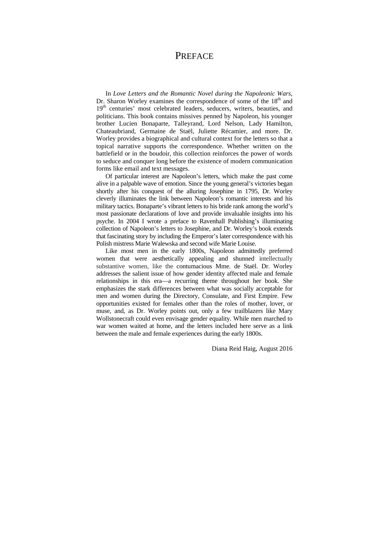## **PREFACE**

In *Love Letters and the Romantic Novel during the Napoleonic Wars*, Dr. Sharon Worley examines the correspondence of some of the  $18<sup>th</sup>$  and 19<sup>th</sup> centuries' most celebrated leaders, seducers, writers, beauties, and politicians. This book contains missives penned by Napoleon, his younger brother Lucien Bonaparte, Talleyrand, Lord Nelson, Lady Hamilton, Chateaubriand, Germaine de Staël, Juliette Récamier, and more. Dr. Worley provides a biographical and cultural context for the letters so that a topical narrative supports the correspondence. Whether written on the battlefield or in the boudoir, this collection reinforces the power of words to seduce and conquer long before the existence of modern communication forms like email and text messages.

Of particular interest are Napoleon's letters, which make the past come alive in a palpable wave of emotion. Since the young general's victories began shortly after his conquest of the alluring Josephine in 1795, Dr. Worley cleverly illuminates the link between Napoleon's romantic interests and his military tactics. Bonaparte's vibrant letters to his bride rank among the world's most passionate declarations of love and provide invaluable insights into his psyche. In 2004 I wrote a preface to Ravenhall Publishing's illuminating collection of Napoleon's letters to Josephine, and Dr. Worley's book extends that fascinating story by including the Emperor's later correspondence with his Polish mistress Marie Walewska and second wife Marie Louise.

Like most men in the early 1800s, Napoleon admittedly preferred women that were aesthetically appealing and shunned intellectually substantive women, like the contumacious Mme. de Staël. Dr. Worley addresses the salient issue of how gender identity affected male and female relationships in this era—a recurring theme throughout her book. She emphasizes the stark differences between what was socially acceptable for men and women during the Directory, Consulate, and First Empire. Few opportunities existed for females other than the roles of mother, lover, or muse, and, as Dr. Worley points out, only a few trailblazers like Mary Wollstonecraft could even envisage gender equality. While men marched to war women waited at home, and the letters included here serve as a link between the male and female experiences during the early 1800s.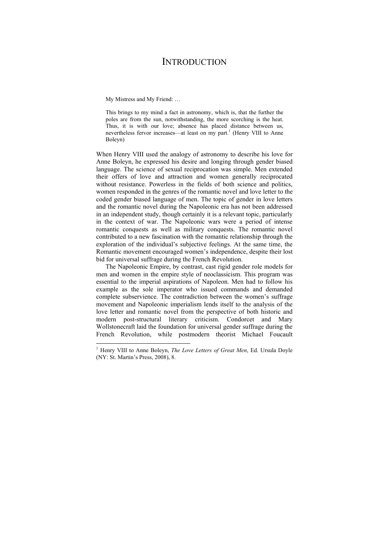## **INTRODUCTION**

My Mistress and My Friend: …

 $\overline{a}$ 

This brings to my mind a fact in astronomy, which is, that the further the poles are from the sun, notwithstanding, the more scorching is the heat. Thus, it is with our love; absence has placed distance between us, nevertheless fervor increases—at least on my part.<sup>1</sup> (Henry VIII to Anne Boleyn)

When Henry VIII used the analogy of astronomy to describe his love for Anne Boleyn, he expressed his desire and longing through gender biased language. The science of sexual reciprocation was simple. Men extended their offers of love and attraction and women generally reciprocated without resistance. Powerless in the fields of both science and politics, women responded in the genres of the romantic novel and love letter to the coded gender biased language of men. The topic of gender in love letters and the romantic novel during the Napoleonic era has not been addressed in an independent study, though certainly it is a relevant topic, particularly in the context of war. The Napoleonic wars were a period of intense romantic conquests as well as military conquests. The romantic novel contributed to a new fascination with the romantic relationship through the exploration of the individual's subjective feelings. At the same time, the Romantic movement encouraged women's independence, despite their lost bid for universal suffrage during the French Revolution.

The Napoleonic Empire, by contrast, cast rigid gender role models for men and women in the empire style of neoclassicism. This program was essential to the imperial aspirations of Napoleon. Men had to follow his example as the sole imperator who issued commands and demanded complete subservience. The contradiction between the women's suffrage movement and Napoleonic imperialism lends itself to the analysis of the love letter and romantic novel from the perspective of both historic and modern post-structural literary criticism. Condorcet and Mary Wollstonecraft laid the foundation for universal gender suffrage during the French Revolution, while postmodern theorist Michael Foucault

<sup>&</sup>lt;sup>1</sup> Henry VIII to Anne Boleyn, *The Love Letters of Great Men*, Ed. Ursula Doyle (NY: St. Martin's Press, 2008), 8.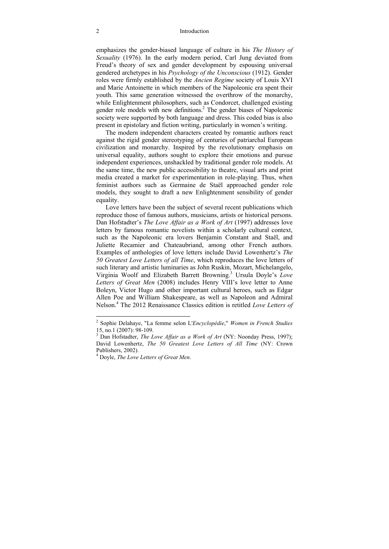#### 2 Introduction

emphasizes the gender-biased language of culture in his *The History of Sexuality* (1976). In the early modern period, Carl Jung deviated from Freud's theory of sex and gender development by espousing universal gendered archetypes in his *Psychology of the Unconscious* (1912). Gender roles were firmly established by the *Ancien Regime* society of Louis XVI and Marie Antoinette in which members of the Napoleonic era spent their youth. This same generation witnessed the overthrow of the monarchy, while Enlightenment philosophers, such as Condorcet, challenged existing gender role models with new definitions.<sup>2</sup> The gender biases of Napoleonic society were supported by both language and dress. This coded bias is also present in epistolary and fiction writing, particularly in women's writing.

The modern independent characters created by romantic authors react against the rigid gender stereotyping of centuries of patriarchal European civilization and monarchy. Inspired by the revolutionary emphasis on universal equality, authors sought to explore their emotions and pursue independent experiences, unshackled by traditional gender role models. At the same time, the new public accessibility to theatre, visual arts and print media created a market for experimentation in role-playing. Thus, when feminist authors such as Germaine de Staël approached gender role models, they sought to draft a new Enlightenment sensibility of gender equality.

Love letters have been the subject of several recent publications which reproduce those of famous authors, musicians, artists or historical persons. Dan Hofstadter's *The Love Affair as a Work of Art* (1997) addresses love letters by famous romantic novelists within a scholarly cultural context, such as the Napoleonic era lovers Benjamin Constant and Staël, and Juliette Recamier and Chateaubriand, among other French authors. Examples of anthologies of love letters include David Lowenhertz's *The 50 Greatest Love Letters of all Time*, which reproduces the love letters of such literary and artistic luminaries as John Ruskin, Mozart, Michelangelo, Virginia Woolf and Elizabeth Barrett Browning.3 Ursula Doyle's *Love Letters of Great Men* (2008) includes Henry VIII's love letter to Anne Boleyn, Victor Hugo and other important cultural heroes, such as Edgar Allen Poe and William Shakespeare, as well as Napoleon and Admiral Nelson.4 The 2012 Renaissance Classics edition is retitled *Love Letters of* 

 2 Sophie Delahaye, "La femme selon L'*Encyclopédie*," *Women in French Studies* 15, no.1 (2007): 98-109.

<sup>&</sup>lt;sup>3</sup> Dan Hofstadter, *The Love Affair as a Work of Art* (NY: Noonday Press, 1997); David Lowenhertz, *The 50 Greatest Love Letters of All Time* (NY: Crown Publishers, 2002).

<sup>4</sup> Doyle, *The Love Letters of Great Men*.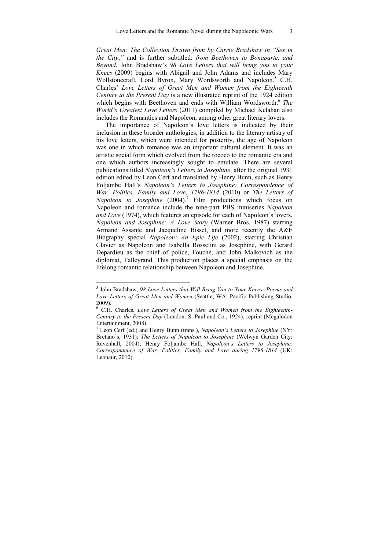*Great Men: The Collection Drawn from by Carrie Bradshaw in "Sex in the City*,*"* and is further subtitled: *from Beethoven to Bonaparte, and Beyond*. John Bradshaw's *98 Love Letters that will bring you to your Knees* (2009) begins with Abigail and John Adams and includes Mary Wollstonecraft, Lord Byron, Mary Wordsworth and Napoleon.<sup>5</sup> C.H. Charles' *Love Letters of Great Men and Women from the Eighteenth Century to the Present Day* is a new illustrated reprint of the 1924 edition which begins with Beethoven and ends with William Wordsworth.<sup>6</sup> The *World's Greatest Love Letters* (2011) compiled by Michael Kelahan also includes the Romantics and Napoleon, among other great literary lovers.

The importance of Napoleon's love letters is indicated by their inclusion in these broader anthologies; in addition to the literary artistry of his love letters, which were intended for posterity, the age of Napoleon was one in which romance was an important cultural element. It was an artistic social form which evolved from the rococo to the romantic era and one which authors increasingly sought to emulate. There are several publications titled *Napoleon's Letters to Josephine*, after the original 1931 edition edited by Leon Cerf and translated by Henry Bunn, such as Henry Foljambe Hall's *Napoleon's Letters to Josephine: Correspondence of War, Politics, Family and Love, 1796-1814* (2010) or *The Letters of Napoleon to Josephine* (2004)*.* 7 Film productions which focus on Napoleon and romance include the nine-part PBS miniseries *Napoleon and Love* (1974), which features an episode for each of Napoleon's lovers, *Napoleon and Josephine: A Love Story* (Warner Bros. 1987) starring Armand Assante and Jacqueline Bisset, and more recently the A&E Biography special *Napoleon: An Epic Life* (2002), starring Christian Clavier as Napoleon and Isabella Rosselini as Josephine, with Gerard Depardieu as the chief of police, Fouché, and John Malkovich as the diplomat, Talleyrand. This production places a special emphasis on the lifelong romantic relationship between Napoleon and Josephine.

 5 John Bradshaw, *98 Love Letters that Will Bring You to Your Knees: Poems and Love Letters of Great Men and Women* (Seattle, WA: Pacific Publishing Studio, 2009).

<sup>6</sup> C.H. Charles*, Love Letters of Great Men and Women from the Eighteenth-Century to the Present Day* (London: S. Paul and Co., 1924), reprint (Megalodon Entertainment, 2008).

<sup>7</sup> Leon Cerf (ed.) and Henry Bunn (trans.), *Napoleon's Letters to Josephine* (NY: Bretano's, 1931); *The Letters of Napoleon to Josephine* (Welwyn Garden City: Ravenhall, 2004); Henry Foljambe Hall, *Napoleon's Letters to Josephine: Correspondence of War, Politics, Family and Love during 1796-1814* (UK: Leonaur, 2010).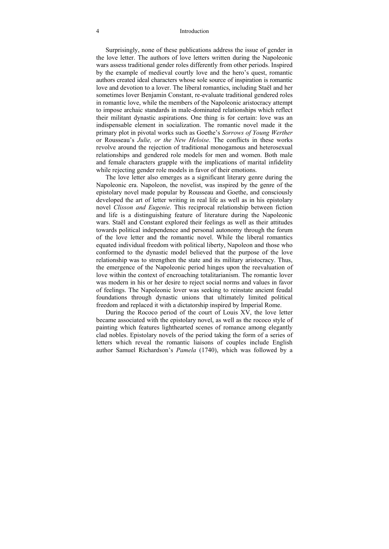#### 4 Introduction

Surprisingly, none of these publications address the issue of gender in the love letter. The authors of love letters written during the Napoleonic wars assess traditional gender roles differently from other periods. Inspired by the example of medieval courtly love and the hero's quest, romantic authors created ideal characters whose sole source of inspiration is romantic love and devotion to a lover. The liberal romantics, including Staël and her sometimes lover Benjamin Constant, re-evaluate traditional gendered roles in romantic love, while the members of the Napoleonic aristocracy attempt to impose archaic standards in male-dominated relationships which reflect their militant dynastic aspirations. One thing is for certain: love was an indispensable element in socialization. The romantic novel made it the primary plot in pivotal works such as Goethe's *Sorrows of Young Werther* or Rousseau's *Julie, or the New Heloise*. The conflicts in these works revolve around the rejection of traditional monogamous and heterosexual relationships and gendered role models for men and women. Both male and female characters grapple with the implications of marital infidelity while rejecting gender role models in favor of their emotions.

The love letter also emerges as a significant literary genre during the Napoleonic era. Napoleon, the novelist, was inspired by the genre of the epistolary novel made popular by Rousseau and Goethe, and consciously developed the art of letter writing in real life as well as in his epistolary novel *Clisson and Eugenie*. This reciprocal relationship between fiction and life is a distinguishing feature of literature during the Napoleonic wars. Staël and Constant explored their feelings as well as their attitudes towards political independence and personal autonomy through the forum of the love letter and the romantic novel. While the liberal romantics equated individual freedom with political liberty, Napoleon and those who conformed to the dynastic model believed that the purpose of the love relationship was to strengthen the state and its military aristocracy. Thus, the emergence of the Napoleonic period hinges upon the reevaluation of love within the context of encroaching totalitarianism. The romantic lover was modern in his or her desire to reject social norms and values in favor of feelings. The Napoleonic lover was seeking to reinstate ancient feudal foundations through dynastic unions that ultimately limited political freedom and replaced it with a dictatorship inspired by Imperial Rome.

During the Rococo period of the court of Louis XV, the love letter became associated with the epistolary novel, as well as the rococo style of painting which features lighthearted scenes of romance among elegantly clad nobles. Epistolary novels of the period taking the form of a series of letters which reveal the romantic liaisons of couples include English author Samuel Richardson's *Pamela* (1740), which was followed by a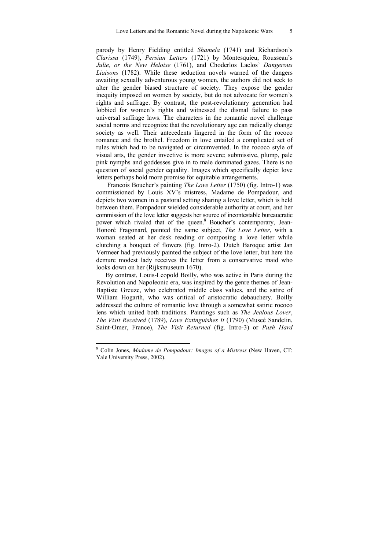parody by Henry Fielding entitled *Shamela* (1741) and Richardson's *Clarissa* (1749), *Persian Letters* (1721) by Montesquieu, Rousseau's *Julie, or the New Heloise* (1761), and Choderlos Laclos' *Dangerous Liaisons* (1782). While these seduction novels warned of the dangers awaiting sexually adventurous young women, the authors did not seek to alter the gender biased structure of society. They expose the gender inequity imposed on women by society, but do not advocate for women's rights and suffrage. By contrast, the post-revolutionary generation had lobbied for women's rights and witnessed the dismal failure to pass universal suffrage laws. The characters in the romantic novel challenge social norms and recognize that the revolutionary age can radically change society as well. Their antecedents lingered in the form of the rococo romance and the brothel. Freedom in love entailed a complicated set of rules which had to be navigated or circumvented. In the rococo style of visual arts, the gender invective is more severe; submissive, plump, pale pink nymphs and goddesses give in to male dominated gazes. There is no question of social gender equality. Images which specifically depict love letters perhaps hold more promise for equitable arrangements.

 Francois Boucher's painting *The Love Letter* (1750) (fig. Intro-1) was commissioned by Louis XV's mistress, Madame de Pompadour, and depicts two women in a pastoral setting sharing a love letter, which is held between them. Pompadour wielded considerable authority at court, and her commission of the love letter suggests her source of incontestable bureaucratic power which rivaled that of the queen.<sup>8</sup> Boucher's contemporary, Jean-Honoré Fragonard, painted the same subject, *The Love Letter*, with a woman seated at her desk reading or composing a love letter while clutching a bouquet of flowers (fig. Intro-2). Dutch Baroque artist Jan Vermeer had previously painted the subject of the love letter, but here the demure modest lady receives the letter from a conservative maid who looks down on her (Rijksmuseum 1670).

By contrast, Louis-Leopold Boilly, who was active in Paris during the Revolution and Napoleonic era, was inspired by the genre themes of Jean-Baptiste Greuze, who celebrated middle class values, and the satire of William Hogarth, who was critical of aristocratic debauchery. Boilly addressed the culture of romantic love through a somewhat satiric rococo lens which united both traditions. Paintings such as *The Jealous Lover*, *The Visit Received* (1789), *Love Extinguishes It* (1790) (Museé Sandelin, Saint-Omer, France), *The Visit Returned* (fig. Intro-3) or *Push Hard*

 8 Colin Jones, *Madame de Pompadour: Images of a Mistress* (New Haven, CT: Yale University Press, 2002).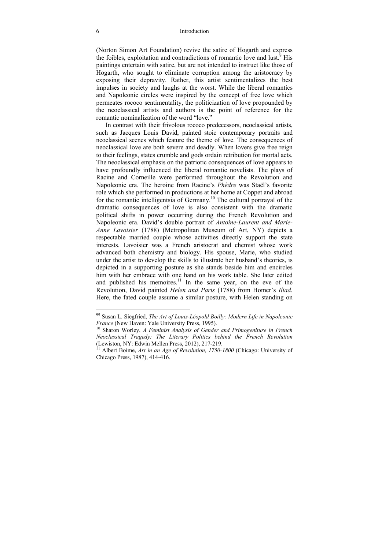#### 6 Introduction

(Norton Simon Art Foundation) revive the satire of Hogarth and express the foibles, exploitation and contradictions of romantic love and lust.<sup>9</sup> His paintings entertain with satire, but are not intended to instruct like those of Hogarth, who sought to eliminate corruption among the aristocracy by exposing their depravity. Rather, this artist sentimentalizes the best impulses in society and laughs at the worst. While the liberal romantics and Napoleonic circles were inspired by the concept of free love which permeates rococo sentimentality, the politicization of love propounded by the neoclassical artists and authors is the point of reference for the romantic nominalization of the word "love."

In contrast with their frivolous rococo predecessors, neoclassical artists, such as Jacques Louis David, painted stoic contemporary portraits and neoclassical scenes which feature the theme of love. The consequences of neoclassical love are both severe and deadly. When lovers give free reign to their feelings, states crumble and gods ordain retribution for mortal acts. The neoclassical emphasis on the patriotic consequences of love appears to have profoundly influenced the liberal romantic novelists. The plays of Racine and Corneille were performed throughout the Revolution and Napoleonic era. The heroine from Racine's *Phèdre* was Staël's favorite role which she performed in productions at her home at Coppet and abroad for the romantic intelligentsia of Germany.10 The cultural portrayal of the dramatic consequences of love is also consistent with the dramatic political shifts in power occurring during the French Revolution and Napoleonic era. David's double portrait of *Antoine-Laurent and Marie-Anne Lavoisier* (1788) (Metropolitan Museum of Art, NY) depicts a respectable married couple whose activities directly support the state interests. Lavoisier was a French aristocrat and chemist whose work advanced both chemistry and biology. His spouse, Marie, who studied under the artist to develop the skills to illustrate her husband's theories, is depicted in a supporting posture as she stands beside him and encircles him with her embrace with one hand on his work table. She later edited and published his memoires.<sup>11</sup> In the same year, on the eve of the Revolution, David painted *Helen and Paris* (1788) from Homer's *Iliad*. Here, the fated couple assume a similar posture, with Helen standing on

1

<sup>99</sup> Susan L. Siegfried, *The Art of Louis-Léopold Boilly: Modern Life in Napoleonic France* (New Haven: Yale University Press, 1995).<br><sup>10</sup> Sharon Worley, *A Feminist Analysis of Gender and Primogeniture in French* 

*Neoclassical Tragedy: The Literary Politics behind the French Revolution* (Lewiston, NY: Edwin Mellen Press, 2012), 217-219.<br><sup>11</sup> Albert Boime, *Art in an Age of Revolution, 1750-1800* (Chicago: University of

Chicago Press, 1987), 414-416.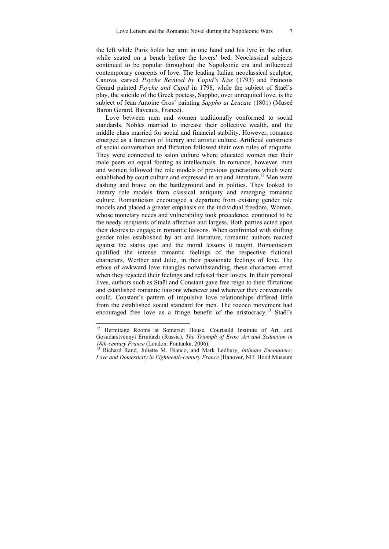the left while Paris holds her arm in one hand and his lyre in the other, while seated on a bench before the lovers' bed. Neoclassical subjects continued to be popular throughout the Napoleonic era and influenced contemporary concepts of love. The leading Italian neoclassical sculptor, Canova, carved *Psyche Revived by Cupid's Kiss* (1793) and Francois Gerard painted *Psyche and Cupid* in 1798, while the subject of Staël's play, the suicide of the Greek poetess, Sappho, over unrequited love, is the subject of Jean Antoine Gros' painting *Sappho at Leucate* (1801) (Museé Baron Gerard, Bayeaux, France).

Love between men and women traditionally conformed to social standards. Nobles married to increase their collective wealth, and the middle class married for social and financial stability. However, romance emerged as a function of literary and artistic culture. Artificial constructs of social conversation and flirtation followed their own rules of etiquette. They were connected to salon culture where educated women met their male peers on equal footing as intellectuals. In romance, however, men and women followed the role models of previous generations which were established by court culture and expressed in art and literature.<sup>12</sup> Men were dashing and brave on the battleground and in politics. They looked to literary role models from classical antiquity and emerging romantic culture. Romanticism encouraged a departure from existing gender role models and placed a greater emphasis on the individual freedom. Women, whose monetary needs and vulnerability took precedence, continued to be the needy recipients of male affection and largess. Both parties acted upon their desires to engage in romantic liaisons. When confronted with shifting gender roles established by art and literature, romantic authors reacted against the status quo and the moral lessons it taught. Romanticism qualified the intense romantic feelings of the respective fictional characters, Werther and Julie, in their passionate feelings of love. The ethics of awkward love triangles notwithstanding, these characters erred when they rejected their feelings and refused their lovers. In their personal lives, authors such as Staël and Constant gave free reign to their flirtations and established romantic liaisons whenever and wherever they conveniently could. Constant's pattern of impulsive love relationships differed little from the established social standard for men. The rococo movement had encouraged free love as a fringe benefit of the aristocracy.13 Staël's

1

Hermitage Rooms at Somerset House, Courtauld Institute of Art, and Gosudarstvennyĭ Ėrmitazh (Russia), *The Triumph of Eros: Art and Seduction in 18th-century France* (London: Fontanka, 2006). 13 Richard Rand, Juliette M. Bianco, and Mark Ledbury, *Intimate Encounters:* 

*Love and Domesticity in Eighteenth-century France* (Hanover, NH: Hood Museum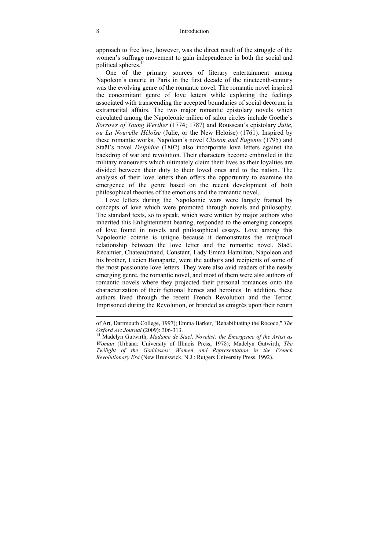approach to free love, however, was the direct result of the struggle of the women's suffrage movement to gain independence in both the social and political spheres.<sup>14</sup>

One of the primary sources of literary entertainment among Napoleon's coterie in Paris in the first decade of the nineteenth-century was the evolving genre of the romantic novel. The romantic novel inspired the concomitant genre of love letters while exploring the feelings associated with transcending the accepted boundaries of social decorum in extramarital affairs. The two major romantic epistolary novels which circulated among the Napoleonic milieu of salon circles include Goethe's *Sorrows of Young Werther* (1774; 1787) and Rousseau's epistolary *Julie, ou La Nouvelle Héloïse* (Julie, or the New Heloise) (1761)*.* Inspired by these romantic works, Napoleon's novel *Clisson and Eugenie* (1795) and Staël's novel *Delphine* (1802) also incorporate love letters against the backdrop of war and revolution. Their characters become embroiled in the military maneuvers which ultimately claim their lives as their loyalties are divided between their duty to their loved ones and to the nation. The analysis of their love letters then offers the opportunity to examine the emergence of the genre based on the recent development of both philosophical theories of the emotions and the romantic novel.

Love letters during the Napoleonic wars were largely framed by concepts of love which were promoted through novels and philosophy. The standard texts, so to speak, which were written by major authors who inherited this Enlightenment bearing, responded to the emerging concepts of love found in novels and philosophical essays. Love among this Napoleonic coterie is unique because it demonstrates the reciprocal relationship between the love letter and the romantic novel. Staël, Récamier, Chateaubriand, Constant, Lady Emma Hamilton, Napoleon and his brother, Lucien Bonaparte, were the authors and recipients of some of the most passionate love letters. They were also avid readers of the newly emerging genre, the romantic novel, and most of them were also authors of romantic novels where they projected their personal romances onto the characterization of their fictional heroes and heroines. In addition, these authors lived through the recent French Revolution and the Terror. Imprisoned during the Revolution, or branded as emigrés upon their return

 $\overline{a}$ 

of Art, Dartmouth College, 1997); Emma Barker, "Rehabilitating the Rococo," *The Oxford Art Journal (2009): 306-313.*<br><sup>14</sup> Madelyn Gutwirth, *Madame de Staël, Novelist: the Emergence of the Artist as* 

*Woman* (Urbana: University of Illinois Press, 1978); Madelyn Gutwirth, *The Twilight of the Goddesses: Women and Representation in the French Revolutionary Era* (New Brunswick, N.J.: Rutgers University Press, 1992).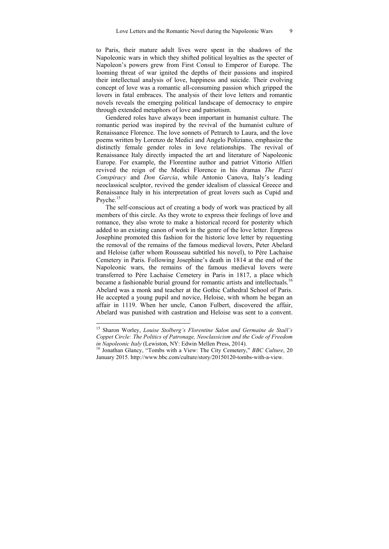to Paris, their mature adult lives were spent in the shadows of the Napoleonic wars in which they shifted political loyalties as the specter of Napoleon's powers grew from First Consul to Emperor of Europe. The looming threat of war ignited the depths of their passions and inspired their intellectual analysis of love, happiness and suicide. Their evolving concept of love was a romantic all-consuming passion which gripped the lovers in fatal embraces. The analysis of their love letters and romantic novels reveals the emerging political landscape of democracy to empire through extended metaphors of love and patriotism.

Gendered roles have always been important in humanist culture. The romantic period was inspired by the revival of the humanist culture of Renaissance Florence. The love sonnets of Petrarch to Laura, and the love poems written by Lorenzo de Medici and Angelo Poliziano, emphasize the distinctly female gender roles in love relationships. The revival of Renaissance Italy directly impacted the art and literature of Napoleonic Europe. For example, the Florentine author and patriot Vittorio Alfieri revived the reign of the Medici Florence in his dramas *The Pazzi Conspiracy* and *Don Garcia*, while Antonio Canova, Italy's leading neoclassical sculptor, revived the gender idealism of classical Greece and Renaissance Italy in his interpretation of great lovers such as Cupid and Psyche.<sup>15</sup>

The self-conscious act of creating a body of work was practiced by all members of this circle. As they wrote to express their feelings of love and romance, they also wrote to make a historical record for posterity which added to an existing canon of work in the genre of the love letter. Empress Josephine promoted this fashion for the historic love letter by requesting the removal of the remains of the famous medieval lovers, Peter Abelard and Heloise (after whom Rousseau subtitled his novel), to Père Lachaise Cemetery in Paris. Following Josephine's death in 1814 at the end of the Napoleonic wars, the remains of the famous medieval lovers were transferred to Père Lachaise Cemetery in Paris in 1817, a place which became a fashionable burial ground for romantic artists and intellectuals.<sup>16</sup> Abelard was a monk and teacher at the Gothic Cathedral School of Paris. He accepted a young pupil and novice, Heloise, with whom he began an affair in 1119. When her uncle, Canon Fulbert, discovered the affair, Abelard was punished with castration and Heloise was sent to a convent.

1

<sup>15</sup> Sharon Worley, *Louise Stolberg's Florentine Salon and Germaine de Staël's Coppet Circle: The Politics of Patronage, Neoclassicism and the Code of Freedom in Napoleonic Italy* (Lewiston, NY: Edwin Mellen Press, 2014).<br><sup>16</sup> Jonathan Glancy, "Tombs with a View: The City Cemetery," *BBC Culture*, 20

January 2015. http://www.bbc.com/culture/story/20150120-tombs-with-a-view.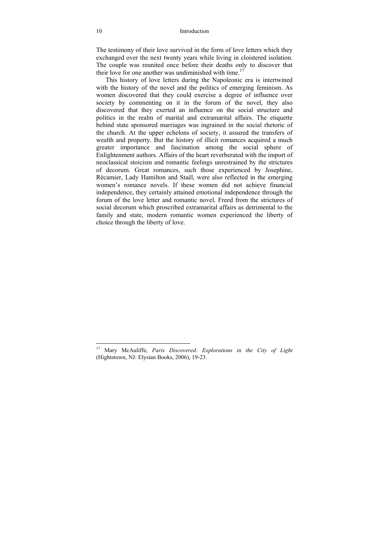#### 10 Introduction

The testimony of their love survived in the form of love letters which they exchanged over the next twenty years while living in cloistered isolation. The couple was reunited once before their deaths only to discover that their love for one another was undiminished with time.<sup>17</sup>

This history of love letters during the Napoleonic era is intertwined with the history of the novel and the politics of emerging feminism. As women discovered that they could exercise a degree of influence over society by commenting on it in the forum of the novel, they also discovered that they exerted an influence on the social structure and politics in the realm of marital and extramarital affairs. The etiquette behind state sponsored marriages was ingrained in the social rhetoric of the church. At the upper echelons of society, it assured the transfers of wealth and property. But the history of illicit romances acquired a much greater importance and fascination among the social sphere of Enlightenment authors. Affairs of the heart reverberated with the import of neoclassical stoicism and romantic feelings unrestrained by the strictures of decorum. Great romances, such those experienced by Josephine, Récamier, Lady Hamilton and Staël, were also reflected in the emerging women's romance novels. If these women did not achieve financial independence, they certainly attained emotional independence through the forum of the love letter and romantic novel. Freed from the strictures of social decorum which proscribed extramarital affairs as detrimental to the family and state, modern romantic women experienced the liberty of choice through the liberty of love.

 $\overline{a}$ 

<sup>17</sup> Mary McAuliffe, *Paris Discovered: Explorations in the City of Light*  (Hightstown, NJ: Elysian Books, 2006), 19-23.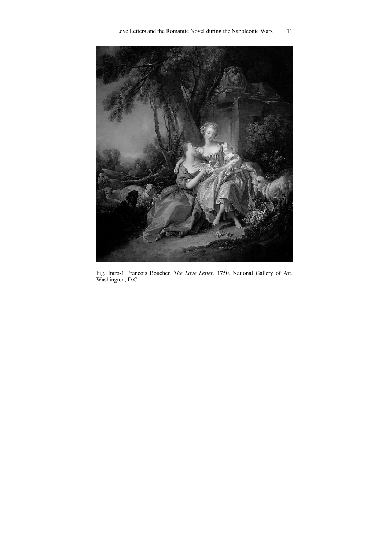



Fig. Intro-1 Francois Boucher. *The Love Letter*. 1750. National Gallery of Art. Washington, D.C.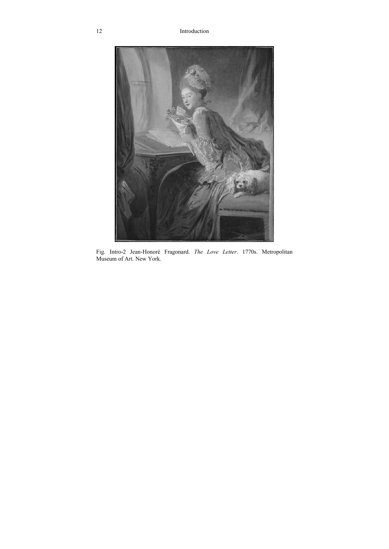

Fig. Intro-2 Jean-Honoré Fragonard. *The Love Letter*. 1770s. Metropolitan Museum of Art. New York.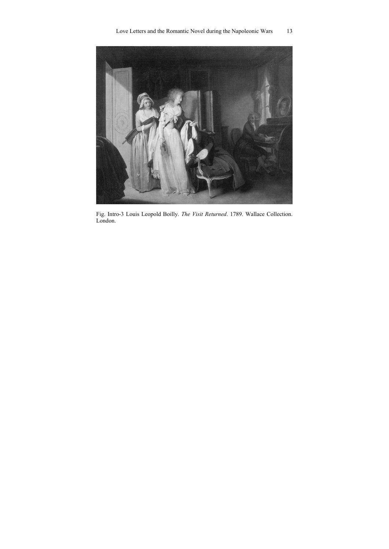

Fig. Intro-3 Louis Leopold Boilly. *The Visit Returned*. 1789. Wallace Collection. London.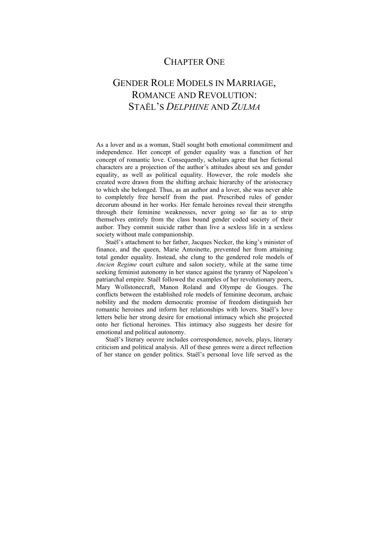## CHAPTER ONE

## GENDER ROLE MODELS IN MARRIAGE, ROMANCE AND REVOLUTION: STAËL'S *DELPHINE* AND *ZULMA*

As a lover and as a woman, Staël sought both emotional commitment and independence. Her concept of gender equality was a function of her concept of romantic love. Consequently, scholars agree that her fictional characters are a projection of the author's attitudes about sex and gender equality, as well as political equality. However, the role models she created were drawn from the shifting archaic hierarchy of the aristocracy to which she belonged. Thus, as an author and a lover, she was never able to completely free herself from the past. Prescribed rules of gender decorum abound in her works. Her female heroines reveal their strengths through their feminine weaknesses, never going so far as to strip themselves entirely from the class bound gender coded society of their author. They commit suicide rather than live a sexless life in a sexless society without male companionship.

Staël's attachment to her father, Jacques Necker, the king's minister of finance, and the queen, Marie Antoinette, prevented her from attaining total gender equality. Instead, she clung to the gendered role models of *Ancien Regime* court culture and salon society, while at the same time seeking feminist autonomy in her stance against the tyranny of Napoleon's patriarchal empire. Staël followed the examples of her revolutionary peers, Mary Wollstonecraft, Manon Roland and Olympe de Gouges. The conflicts between the established role models of feminine decorum, archaic nobility and the modern democratic promise of freedom distinguish her romantic heroines and inform her relationships with lovers. Staël's love letters belie her strong desire for emotional intimacy which she projected onto her fictional heroines. This intimacy also suggests her desire for emotional and political autonomy.

Staël's literary oeuvre includes correspondence, novels, plays, literary criticism and political analysis. All of these genres were a direct reflection of her stance on gender politics. Staël's personal love life served as the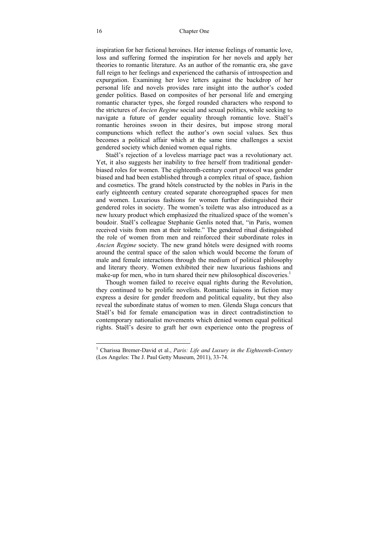inspiration for her fictional heroines. Her intense feelings of romantic love, loss and suffering formed the inspiration for her novels and apply her theories to romantic literature. As an author of the romantic era, she gave full reign to her feelings and experienced the catharsis of introspection and expurgation. Examining her love letters against the backdrop of her personal life and novels provides rare insight into the author's coded gender politics. Based on composites of her personal life and emerging romantic character types, she forged rounded characters who respond to the strictures of *Ancien Regime* social and sexual politics, while seeking to navigate a future of gender equality through romantic love. Staël's romantic heroines swoon in their desires, but impose strong moral compunctions which reflect the author's own social values. Sex thus becomes a political affair which at the same time challenges a sexist gendered society which denied women equal rights.

Staël's rejection of a loveless marriage pact was a revolutionary act. Yet, it also suggests her inability to free herself from traditional genderbiased roles for women. The eighteenth-century court protocol was gender biased and had been established through a complex ritual of space, fashion and cosmetics. The grand hôtels constructed by the nobles in Paris in the early eighteenth century created separate choreographed spaces for men and women. Luxurious fashions for women further distinguished their gendered roles in society. The women's toilette was also introduced as a new luxury product which emphasized the ritualized space of the women's boudoir. Staël's colleague Stephanie Genlis noted that, "in Paris, women received visits from men at their toilette." The gendered ritual distinguished the role of women from men and reinforced their subordinate roles in *Ancien Regime* society. The new grand hôtels were designed with rooms around the central space of the salon which would become the forum of male and female interactions through the medium of political philosophy and literary theory. Women exhibited their new luxurious fashions and make-up for men, who in turn shared their new philosophical discoveries.<sup>1</sup>

Though women failed to receive equal rights during the Revolution, they continued to be prolific novelists. Romantic liaisons in fiction may express a desire for gender freedom and political equality, but they also reveal the subordinate status of women to men. Glenda Sluga concurs that Staël's bid for female emancipation was in direct contradistinction to contemporary nationalist movements which denied women equal political rights. Staël's desire to graft her own experience onto the progress of

 1 Charissa Bremer-David et al., *Paris: Life and Luxury in the Eighteenth-Century* (Los Angeles: The J. Paul Getty Museum, 2011), 33-74.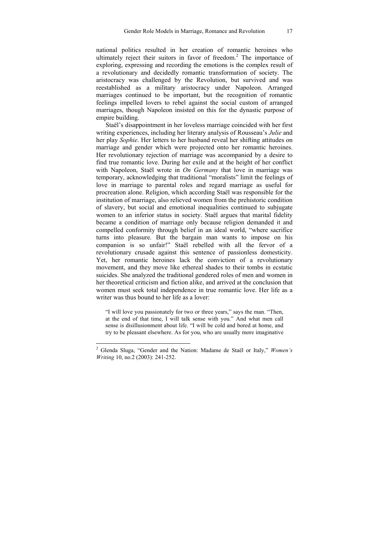national politics resulted in her creation of romantic heroines who ultimately reject their suitors in favor of freedom.<sup>2</sup> The importance of exploring, expressing and recording the emotions is the complex result of a revolutionary and decidedly romantic transformation of society. The aristocracy was challenged by the Revolution, but survived and was reestablished as a military aristocracy under Napoleon. Arranged marriages continued to be important, but the recognition of romantic feelings impelled lovers to rebel against the social custom of arranged marriages, though Napoleon insisted on this for the dynastic purpose of empire building.

Staël's disappointment in her loveless marriage coincided with her first writing experiences, including her literary analysis of Rousseau's *Julie* and her play *Sophie*. Her letters to her husband reveal her shifting attitudes on marriage and gender which were projected onto her romantic heroines. Her revolutionary rejection of marriage was accompanied by a desire to find true romantic love. During her exile and at the height of her conflict with Napoleon, Staël wrote in *On Germany* that love in marriage was temporary, acknowledging that traditional "moralists" limit the feelings of love in marriage to parental roles and regard marriage as useful for procreation alone. Religion, which according Staël was responsible for the institution of marriage, also relieved women from the prehistoric condition of slavery, but social and emotional inequalities continued to subjugate women to an inferior status in society. Staël argues that marital fidelity became a condition of marriage only because religion demanded it and compelled conformity through belief in an ideal world, "where sacrifice turns into pleasure. But the bargain man wants to impose on his companion is so unfair!" Staël rebelled with all the fervor of a revolutionary crusade against this sentence of passionless domesticity. Yet, her romantic heroines lack the conviction of a revolutionary movement, and they move like ethereal shades to their tombs in ecstatic suicides. She analyzed the traditional gendered roles of men and women in her theoretical criticism and fiction alike, and arrived at the conclusion that women must seek total independence in true romantic love. Her life as a writer was thus bound to her life as a lover:

"I will love you passionately for two or three years," says the man. "Then, at the end of that time, I will talk sense with you." And what men call sense is disillusionment about life. "I will be cold and bored at home, and try to be pleasant elsewhere. As for you, who are usually more imaginative

 2 Glenda Sluga, "Gender and the Nation: Madame de Staël or Italy," *Women's Writing* 10, no.2 (2003): 241-252.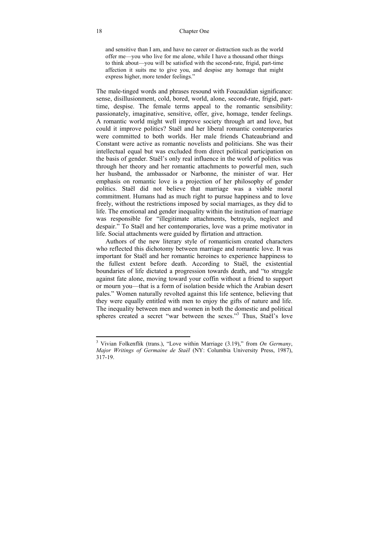and sensitive than I am, and have no career or distraction such as the world offer me—you who live for me alone, while I have a thousand other things to think about—you will be satisfied with the second-rate, frigid, part-time affection it suits me to give you, and despise any homage that might express higher, more tender feelings."

The male-tinged words and phrases resound with Foucauldian significance: sense, disillusionment, cold, bored, world, alone, second-rate, frigid, parttime, despise. The female terms appeal to the romantic sensibility: passionately, imaginative, sensitive, offer, give, homage, tender feelings. A romantic world might well improve society through art and love, but could it improve politics? Staël and her liberal romantic contemporaries were committed to both worlds. Her male friends Chateaubriand and Constant were active as romantic novelists and politicians. She was their intellectual equal but was excluded from direct political participation on the basis of gender. Staël's only real influence in the world of politics was through her theory and her romantic attachments to powerful men, such her husband, the ambassador or Narbonne, the minister of war. Her emphasis on romantic love is a projection of her philosophy of gender politics. Staël did not believe that marriage was a viable moral commitment. Humans had as much right to pursue happiness and to love freely, without the restrictions imposed by social marriages, as they did to life. The emotional and gender inequality within the institution of marriage was responsible for "illegitimate attachments, betravals, neglect and despair." To Staël and her contemporaries, love was a prime motivator in life. Social attachments were guided by flirtation and attraction.

Authors of the new literary style of romanticism created characters who reflected this dichotomy between marriage and romantic love. It was important for Staël and her romantic heroines to experience happiness to the fullest extent before death. According to Staël, the existential boundaries of life dictated a progression towards death, and "to struggle against fate alone, moving toward your coffin without a friend to support or mourn you—that is a form of isolation beside which the Arabian desert pales." Women naturally revolted against this life sentence, believing that they were equally entitled with men to enjoy the gifts of nature and life. The inequality between men and women in both the domestic and political spheres created a secret "war between the sexes."<sup>3</sup> Thus, Staël's love

 3 Vivian Folkenflik (trans.), "Love within Marriage (3.19)," from *On Germany*, *Major Writings of Germaine de Staël* (NY: Columbia University Press, 1987), 317-19.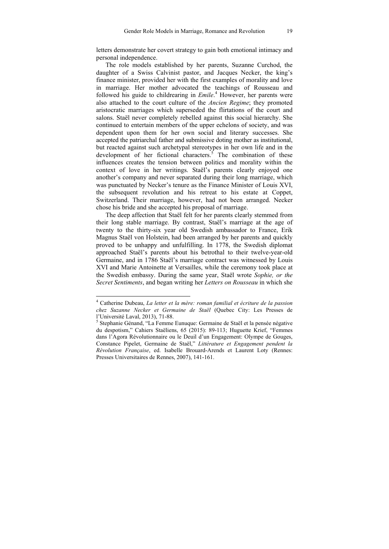letters demonstrate her covert strategy to gain both emotional intimacy and personal independence.

The role models established by her parents, Suzanne Curchod, the daughter of a Swiss Calvinist pastor, and Jacques Necker, the king's finance minister, provided her with the first examples of morality and love in marriage. Her mother advocated the teachings of Rousseau and followed his guide to childrearing in *Emile*. 4 However, her parents were also attached to the court culture of the *Ancien Regime*; they promoted aristocratic marriages which superseded the flirtations of the court and salons. Staël never completely rebelled against this social hierarchy. She continued to entertain members of the upper echelons of society, and was dependent upon them for her own social and literary successes. She accepted the patriarchal father and submissive doting mother as institutional, but reacted against such archetypal stereotypes in her own life and in the development of her fictional characters.<sup>5</sup> The combination of these influences creates the tension between politics and morality within the context of love in her writings. Staël's parents clearly enjoyed one another's company and never separated during their long marriage, which was punctuated by Necker's tenure as the Finance Minister of Louis XVI, the subsequent revolution and his retreat to his estate at Coppet, Switzerland. Their marriage, however, had not been arranged. Necker chose his bride and she accepted his proposal of marriage.

The deep affection that Staël felt for her parents clearly stemmed from their long stable marriage. By contrast, Staël's marriage at the age of twenty to the thirty-six year old Swedish ambassador to France, Erik Magnus Staël von Holstein, had been arranged by her parents and quickly proved to be unhappy and unfulfilling. In 1778, the Swedish diplomat approached Staël's parents about his betrothal to their twelve-year-old Germaine, and in 1786 Staël's marriage contract was witnessed by Louis XVI and Marie Antoinette at Versailles, while the ceremony took place at the Swedish embassy. During the same year, Staël wrote *Sophie, or the Secret Sentiments*, and began writing her *Letters on Rousseau* in which she

 4 Catherine Dubeau, *La letter et la mère: roman familial et écriture de la passion chez Suzanne Necker et Germaine de Staël* (Quebec City: Les Presses de l'Université Laval, 2013), 71-88.

<sup>5</sup> Stephanie Génand, "La Femme Eunuque: Germaine de Staël et la pensée négative du despotism," Cahiers Staëliens, 65 (2015): 89-113; Huguette Krief, "Femmes dans l'Agora Révolutionnaire ou le Deuil d'un Engagement: Olympe de Gouges, Constance Pipelet, Germaine de Staël," *Littérature et Engagement pendent la Révolution Française*, ed. Isabelle Brouard-Arends et Laurent Loty (Rennes: Presses Universitaires de Rennes, 2007), 141-161.